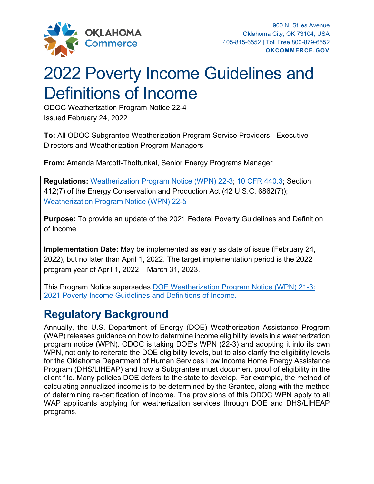

# 2022 Poverty Income Guidelines and Definitions of Income

ODOC Weatherization Program Notice 22-4 Issued February 24, 2022

**To:** All ODOC Subgrantee Weatherization Program Service Providers - Executive Directors and Weatherization Program Managers

**From:** Amanda Marcott-Thottunkal, Senior Energy Programs Manager

**Regulations:** [Weatherization Program Notice \(WPN\) 22-3;](https://www.energy.gov/eere/wap/articles/weatherization-program-notice-22-3-federal-poverty-guidelines-and-definition) [10 CFR 440.3;](https://www.ecfr.gov/current/title-10/chapter-II/subchapter-D/part-440/section-440.18) Section 412(7) of the Energy Conservation and Production Act (42 U.S.C. 6862(7)); [Weatherization Program Notice \(WPN\) 22-5](https://www.energy.gov/eere/wap/articles/weatherization-program-notice-22-5-expansion-client-eligibility-weatherization)

**Purpose:** To provide an update of the 2021 Federal Poverty Guidelines and Definition of Income

**Implementation Date:** May be implemented as early as date of issue (February 24, 2022), but no later than April 1, 2022. The target implementation period is the 2022 program year of April 1, 2022 – March 31, 2023.

This Program Notice supersedes [DOE Weatherization Program Notice \(WPN\)](https://www.energy.gov/eere/wap/downloads/weatherization-program-notice-21-3-2021-federal-poverty-guidelines-and-definition) 21-3: 2021 [Poverty Income Guidelines and Definitions of Income.](https://www.energy.gov/eere/wap/downloads/weatherization-program-notice-21-3-2021-federal-poverty-guidelines-and-definition)

## **Regulatory Background**

Annually, the U.S. Department of Energy (DOE) Weatherization Assistance Program (WAP) releases guidance on how to determine income eligibility levels in a weatherization program notice (WPN). ODOC is taking DOE's WPN (22-3) and adopting it into its own WPN, not only to reiterate the DOE eligibility levels, but to also clarify the eligibility levels for the Oklahoma Department of Human Services Low Income Home Energy Assistance Program (DHS/LIHEAP) and how a Subgrantee must document proof of eligibility in the client file. Many policies DOE defers to the state to develop. For example, the method of calculating annualized income is to be determined by the Grantee, along with the method of determining re-certification of income. The provisions of this ODOC WPN apply to all WAP applicants applying for weatherization services through DOE and DHS/LIHEAP programs.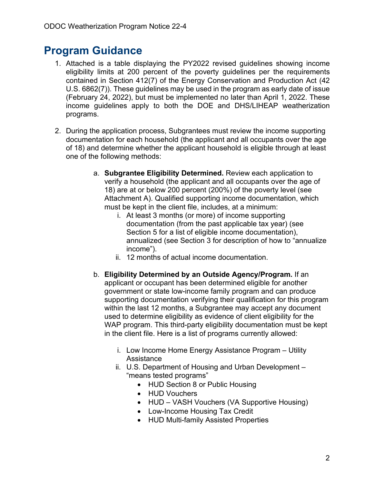## **Program Guidance**

- 1. Attached is a table displaying the PY2022 revised guidelines showing income eligibility limits at 200 percent of the poverty guidelines per the requirements contained in Section 412(7) of the Energy Conservation and Production Act (42 U.S. 6862(7)). These guidelines may be used in the program as early date of issue (February 24, 2022), but must be implemented no later than April 1, 2022. These income guidelines apply to both the DOE and DHS/LIHEAP weatherization programs.
- 2. During the application process, Subgrantees must review the income supporting documentation for each household (the applicant and all occupants over the age of 18) and determine whether the applicant household is eligible through at least one of the following methods:
	- a. **Subgrantee Eligibility Determined.** Review each application to verify a household (the applicant and all occupants over the age of 18) are at or below 200 percent (200%) of the poverty level (see Attachment A). Qualified supporting income documentation, which must be kept in the client file, includes, at a minimum:
		- i. At least 3 months (or more) of income supporting documentation (from the past applicable tax year) (see Section 5 for a list of eligible income documentation), annualized (see Section 3 for description of how to "annualize income").
		- ii. 12 months of actual income documentation.
	- b. **Eligibility Determined by an Outside Agency/Program.** If an applicant or occupant has been determined eligible for another government or state low-income family program and can produce supporting documentation verifying their qualification for this program within the last 12 months, a Subgrantee may accept any document used to determine eligibility as evidence of client eligibility for the WAP program. This third-party eligibility documentation must be kept in the client file. Here is a list of programs currently allowed:
		- i. Low Income Home Energy Assistance Program Utility **Assistance**
		- ii. U.S. Department of Housing and Urban Development "means tested programs"
			- HUD Section 8 or Public Housing
			- HUD Vouchers
			- HUD VASH Vouchers (VA Supportive Housing)
			- Low-Income Housing Tax Credit
			- HUD Multi-family Assisted Properties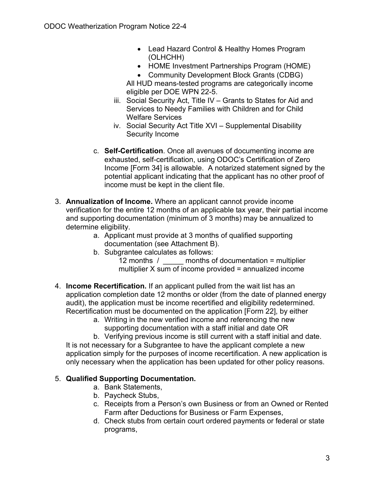- Lead Hazard Control & Healthy Homes Program (OLHCHH)
- HOME Investment Partnerships Program (HOME)
- Community Development Block Grants (CDBG)

All HUD means-tested programs are categorically income eligible per DOE WPN 22-5.

- iii. Social Security Act, Title IV Grants to States for Aid and Services to Needy Families with Children and for Child Welfare Services
- iv. Social Security Act Title XVI Supplemental Disability Security Income
- c. **Self-Certification**. Once all avenues of documenting income are exhausted, self-certification, using ODOC's Certification of Zero Income [Form 34] is allowable. A notarized statement signed by the potential applicant indicating that the applicant has no other proof of income must be kept in the client file.
- 3. **Annualization of Income.** Where an applicant cannot provide income verification for the entire 12 months of an applicable tax year, their partial income and supporting documentation (minimum of 3 months) may be annualized to determine eligibility.
	- a. Applicant must provide at 3 months of qualified supporting documentation (see Attachment B).
	- b. Subgrantee calculates as follows:
		- 12 months / \_\_\_\_\_ months of documentation = multiplier multiplier X sum of income provided = annualized income
- 4. **Income Recertification.** If an applicant pulled from the wait list has an application completion date 12 months or older (from the date of planned energy audit), the application must be income recertified and eligibility redetermined. Recertification must be documented on the application [Form 22], by either
	- a. Writing in the new verified income and referencing the new supporting documentation with a staff initial and date OR

b. Verifying previous income is still current with a staff initial and date. It is not necessary for a Subgrantee to have the applicant complete a new application simply for the purposes of income recertification. A new application is only necessary when the application has been updated for other policy reasons.

#### 5. **Qualified Supporting Documentation.**

- a. Bank Statements,
- b. Paycheck Stubs,
- c. Receipts from a Person's own Business or from an Owned or Rented Farm after Deductions for Business or Farm Expenses,
- d. Check stubs from certain court ordered payments or federal or state programs,